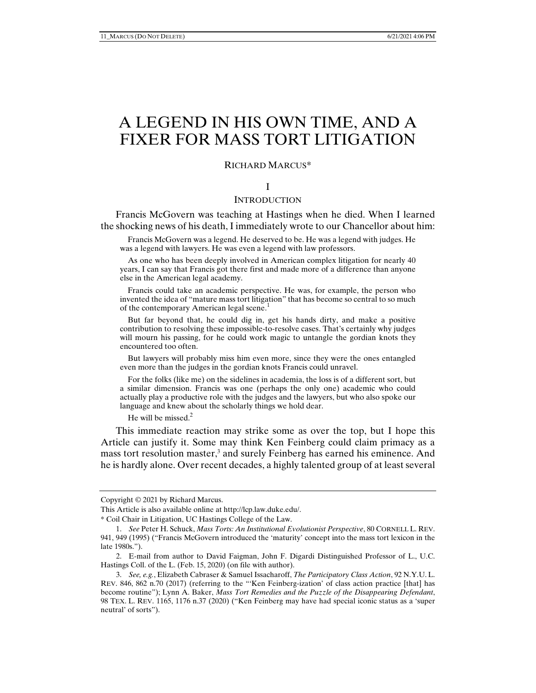# A LEGEND IN HIS OWN TIME, AND A FIXER FOR MASS TORT LITIGATION

#### RICHARD MARCUS\*

### I

# INTRODUCTION

Francis McGovern was teaching at Hastings when he died. When I learned the shocking news of his death, I immediately wrote to our Chancellor about him:

 Francis McGovern was a legend. He deserved to be. He was a legend with judges. He was a legend with lawyers. He was even a legend with law professors.

 As one who has been deeply involved in American complex litigation for nearly 40 years, I can say that Francis got there first and made more of a difference than anyone else in the American legal academy.

 Francis could take an academic perspective. He was, for example, the person who invented the idea of "mature mass tort litigation" that has become so central to so much of the contemporary American legal scene.<sup>1</sup>

 But far beyond that, he could dig in, get his hands dirty, and make a positive contribution to resolving these impossible-to-resolve cases. That's certainly why judges will mourn his passing, for he could work magic to untangle the gordian knots they encountered too often.

 But lawyers will probably miss him even more, since they were the ones entangled even more than the judges in the gordian knots Francis could unravel.

 For the folks (like me) on the sidelines in academia, the loss is of a different sort, but a similar dimension. Francis was one (perhaps the only one) academic who could actually play a productive role with the judges and the lawyers, but who also spoke our language and knew about the scholarly things we hold dear.

He will be missed. $<sup>2</sup>$ </sup>

This immediate reaction may strike some as over the top, but I hope this Article can justify it. Some may think Ken Feinberg could claim primacy as a mass tort resolution master,<sup>3</sup> and surely Feinberg has earned his eminence. And he is hardly alone. Over recent decades, a highly talented group of at least several

Copyright © 2021 by Richard Marcus.

This Article is also available online at http://lcp.law.duke.edu/.

<sup>\*</sup> Coil Chair in Litigation, UC Hastings College of the Law.

 <sup>1.</sup> *See* Peter H. Schuck, *Mass Torts: An Institutional Evolutionist Perspective*, 80 CORNELL L. REV. 941, 949 (1995) ("Francis McGovern introduced the 'maturity' concept into the mass tort lexicon in the late 1980s.").

 <sup>2.</sup> E-mail from author to David Faigman, John F. Digardi Distinguished Professor of L., U.C. Hastings Coll. of the L. (Feb. 15, 2020) (on file with author).

 <sup>3.</sup> *See, e.g.*, Elizabeth Cabraser & Samuel Issacharoff, *The Participatory Class Action*, 92 N.Y.U. L. REV. 846, 862 n.70 (2017) (referring to the "'Ken Feinberg-ization' of class action practice [that] has become routine"); Lynn A. Baker, *Mass Tort Remedies and the Puzzle of the Disappearing Defendant*, 98 TEX. L. REV. 1165, 1176 n.37 (2020) ("Ken Feinberg may have had special iconic status as a 'super neutral' of sorts").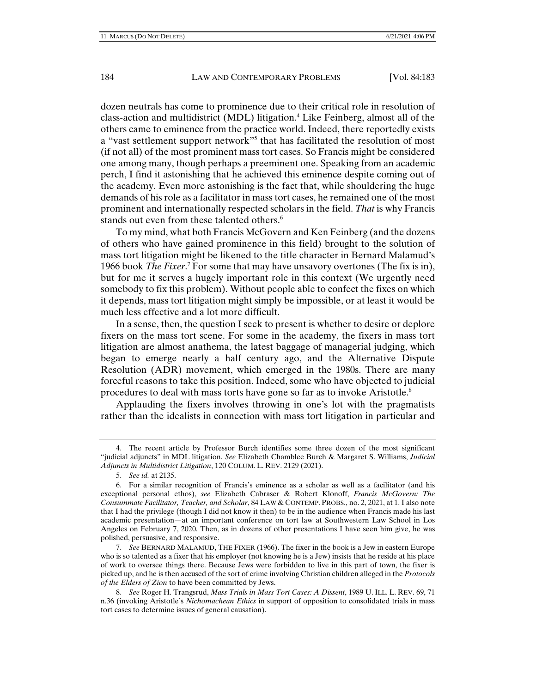dozen neutrals has come to prominence due to their critical role in resolution of class-action and multidistrict (MDL) litigation.4 Like Feinberg, almost all of the others came to eminence from the practice world. Indeed, there reportedly exists a "vast settlement support network"<sup>5</sup> that has facilitated the resolution of most (if not all) of the most prominent mass tort cases. So Francis might be considered one among many, though perhaps a preeminent one. Speaking from an academic perch, I find it astonishing that he achieved this eminence despite coming out of the academy. Even more astonishing is the fact that, while shouldering the huge demands of his role as a facilitator in mass tort cases, he remained one of the most prominent and internationally respected scholars in the field. *That* is why Francis stands out even from these talented others.<sup>6</sup>

To my mind, what both Francis McGovern and Ken Feinberg (and the dozens of others who have gained prominence in this field) brought to the solution of mass tort litigation might be likened to the title character in Bernard Malamud's 1966 book *The Fixer*.<sup>7</sup> For some that may have unsavory overtones (The fix is in), but for me it serves a hugely important role in this context (We urgently need somebody to fix this problem). Without people able to confect the fixes on which it depends, mass tort litigation might simply be impossible, or at least it would be much less effective and a lot more difficult.

In a sense, then, the question I seek to present is whether to desire or deplore fixers on the mass tort scene. For some in the academy, the fixers in mass tort litigation are almost anathema, the latest baggage of managerial judging, which began to emerge nearly a half century ago, and the Alternative Dispute Resolution (ADR) movement, which emerged in the 1980s. There are many forceful reasons to take this position. Indeed, some who have objected to judicial procedures to deal with mass torts have gone so far as to invoke Aristotle.8

Applauding the fixers involves throwing in one's lot with the pragmatists rather than the idealists in connection with mass tort litigation in particular and

 7. *See* BERNARD MALAMUD, THE FIXER (1966). The fixer in the book is a Jew in eastern Europe who is so talented as a fixer that his employer (not knowing he is a Jew) insists that he reside at his place of work to oversee things there. Because Jews were forbidden to live in this part of town, the fixer is picked up, and he is then accused of the sort of crime involving Christian children alleged in the *Protocols of the Elders of Zion* to have been committed by Jews.

 8. *See* Roger H. Trangsrud, *Mass Trials in Mass Tort Cases: A Dissent*, 1989 U. ILL. L. REV. 69, 71 n.36 (invoking Aristotle's *Nichomachean Ethics* in support of opposition to consolidated trials in mass tort cases to determine issues of general causation).

 <sup>4.</sup> The recent article by Professor Burch identifies some three dozen of the most significant "judicial adjuncts" in MDL litigation. *See* Elizabeth Chamblee Burch & Margaret S. Williams, *Judicial Adjuncts in Multidistrict Litigation*, 120 COLUM. L. REV. 2129 (2021).

 <sup>5.</sup> *See id.* at 2135.

 <sup>6.</sup> For a similar recognition of Francis's eminence as a scholar as well as a facilitator (and his exceptional personal ethos), *see* Elizabeth Cabraser & Robert Klonoff, *Francis McGovern: The Consummate Facilitator, Teacher, and Scholar*, 84 LAW & CONTEMP. PROBS., no. 2, 2021, at 1. I also note that I had the privilege (though I did not know it then) to be in the audience when Francis made his last academic presentation—at an important conference on tort law at Southwestern Law School in Los Angeles on February 7, 2020. Then, as in dozens of other presentations I have seen him give, he was polished, persuasive, and responsive.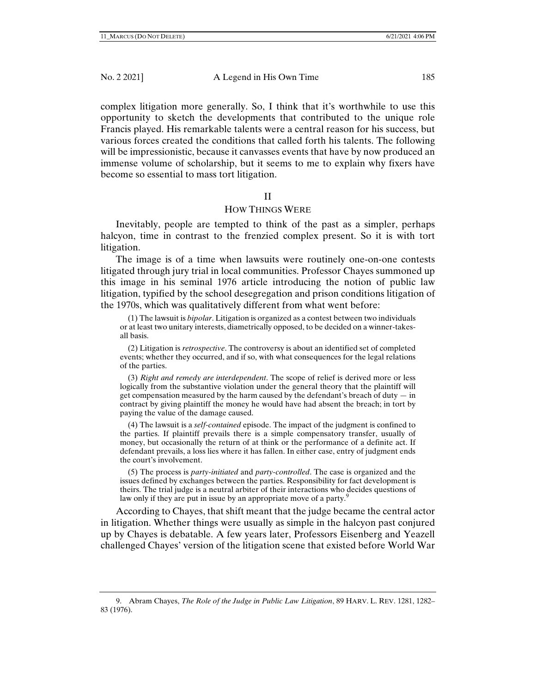complex litigation more generally. So, I think that it's worthwhile to use this opportunity to sketch the developments that contributed to the unique role Francis played. His remarkable talents were a central reason for his success, but various forces created the conditions that called forth his talents. The following will be impressionistic, because it canvasses events that have by now produced an immense volume of scholarship, but it seems to me to explain why fixers have become so essential to mass tort litigation.

#### II

#### HOW THINGS WERE

Inevitably, people are tempted to think of the past as a simpler, perhaps halcyon, time in contrast to the frenzied complex present. So it is with tort litigation.

The image is of a time when lawsuits were routinely one-on-one contests litigated through jury trial in local communities. Professor Chayes summoned up this image in his seminal 1976 article introducing the notion of public law litigation, typified by the school desegregation and prison conditions litigation of the 1970s, which was qualitatively different from what went before:

 (1) The lawsuit is *bipolar*. Litigation is organized as a contest between two individuals or at least two unitary interests, diametrically opposed, to be decided on a winner-takesall basis.

 (2) Litigation is *retrospective*. The controversy is about an identified set of completed events; whether they occurred, and if so, with what consequences for the legal relations of the parties.

 (3) *Right and remedy are interdependent*. The scope of relief is derived more or less logically from the substantive violation under the general theory that the plaintiff will get compensation measured by the harm caused by the defendant's breach of duty — in contract by giving plaintiff the money he would have had absent the breach; in tort by paying the value of the damage caused.

 (4) The lawsuit is a *self-contained* episode. The impact of the judgment is confined to the parties. If plaintiff prevails there is a simple compensatory transfer, usually of money, but occasionally the return of at think or the performance of a definite act. If defendant prevails, a loss lies where it has fallen. In either case, entry of judgment ends the court's involvement.

 (5) The process is *party-initiated* and *party-controlled*. The case is organized and the issues defined by exchanges between the parties. Responsibility for fact development is theirs. The trial judge is a neutral arbiter of their interactions who decides questions of law only if they are put in issue by an appropriate move of a party.<sup>9</sup>

According to Chayes, that shift meant that the judge became the central actor in litigation. Whether things were usually as simple in the halcyon past conjured up by Chayes is debatable. A few years later, Professors Eisenberg and Yeazell challenged Chayes' version of the litigation scene that existed before World War

 <sup>9.</sup> Abram Chayes, *The Role of the Judge in Public Law Litigation*, 89 HARV. L. REV. 1281, 1282– 83 (1976).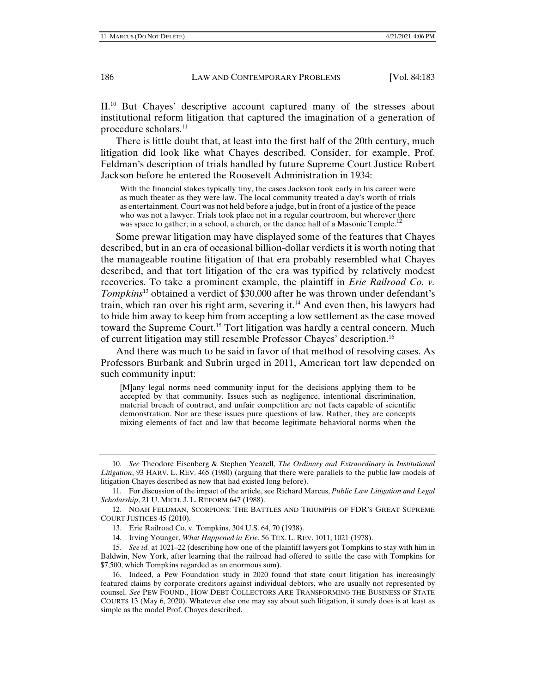II.10 But Chayes' descriptive account captured many of the stresses about institutional reform litigation that captured the imagination of a generation of procedure scholars.<sup>11</sup>

There is little doubt that, at least into the first half of the 20th century, much litigation did look like what Chayes described. Consider, for example, Prof. Feldman's description of trials handled by future Supreme Court Justice Robert Jackson before he entered the Roosevelt Administration in 1934:

With the financial stakes typically tiny, the cases Jackson took early in his career were as much theater as they were law. The local community treated a day's worth of trials as entertainment. Court was not held before a judge, but in front of a justice of the peace who was not a lawyer. Trials took place not in a regular courtroom, but wherever there was space to gather; in a school, a church, or the dance hall of a Masonic Temple.<sup>12</sup>

Some prewar litigation may have displayed some of the features that Chayes described, but in an era of occasional billion-dollar verdicts it is worth noting that the manageable routine litigation of that era probably resembled what Chayes described, and that tort litigation of the era was typified by relatively modest recoveries. To take a prominent example, the plaintiff in *Erie Railroad Co. v. Tompkins*13 obtained a verdict of \$30,000 after he was thrown under defendant's train, which ran over his right arm, severing it.<sup>14</sup> And even then, his lawyers had to hide him away to keep him from accepting a low settlement as the case moved toward the Supreme Court.15 Tort litigation was hardly a central concern. Much of current litigation may still resemble Professor Chayes' description.16

And there was much to be said in favor of that method of resolving cases. As Professors Burbank and Subrin urged in 2011, American tort law depended on such community input:

[M]any legal norms need community input for the decisions applying them to be accepted by that community. Issues such as negligence, intentional discrimination, material breach of contract, and unfair competition are not facts capable of scientific demonstration. Nor are these issues pure questions of law. Rather, they are concepts mixing elements of fact and law that become legitimate behavioral norms when the

 <sup>10.</sup> *See* Theodore Eisenberg & Stephen Yeazell, *The Ordinary and Extraordinary in Institutional Litigation*, 93 HARV. L. REV. 465 (1980) (arguing that there were parallels to the public law models of litigation Chayes described as new that had existed long before).

 <sup>11.</sup> For discussion of the impact of the article, see Richard Marcus, *Public Law Litigation and Legal Scholarship*, 21 U. MICH. J. L. REFORM 647 (1988).

 <sup>12.</sup> NOAH FELDMAN, SCORPIONS: THE BATTLES AND TRIUMPHS OF FDR'S GREAT SUPREME COURT JUSTICES 45 (2010).

 <sup>13.</sup> Erie Railroad Co. v. Tompkins, 304 U.S. 64, 70 (1938).

 <sup>14.</sup> Irving Younger, *What Happened in Erie*, 56 TEX. L. REV. 1011, 1021 (1978).

 <sup>15.</sup> *See id.* at 1021–22 (describing how one of the plaintiff lawyers got Tompkins to stay with him in Baldwin, New York, after learning that the railroad had offered to settle the case with Tompkins for \$7,500, which Tompkins regarded as an enormous sum).

 <sup>16.</sup> Indeed, a Pew Foundation study in 2020 found that state court litigation has increasingly featured claims by corporate creditors against individual debtors, who are usually not represented by counsel. *See* PEW FOUND., HOW DEBT COLLECTORS ARE TRANSFORMING THE BUSINESS OF STATE COURTS 13 (May 6, 2020). Whatever else one may say about such litigation, it surely does is at least as simple as the model Prof. Chayes described.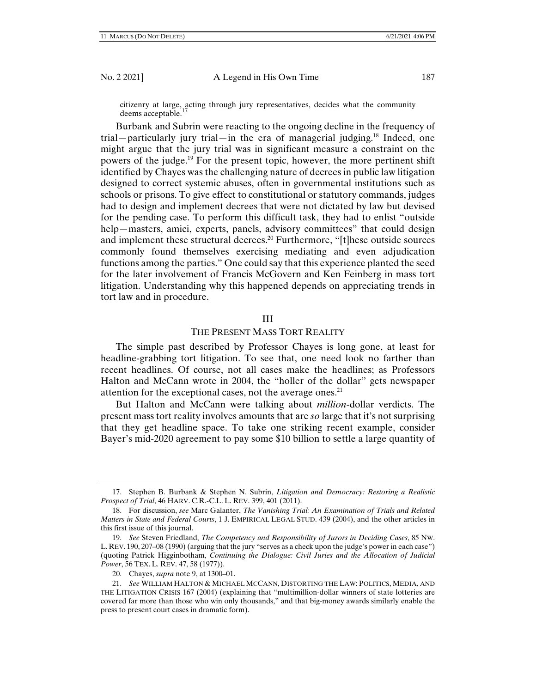citizenry at large, acting through jury representatives, decides what the community deems acceptable.<sup>17</sup>

Burbank and Subrin were reacting to the ongoing decline in the frequency of trial—particularly jury trial—in the era of managerial judging.<sup>18</sup> Indeed, one might argue that the jury trial was in significant measure a constraint on the powers of the judge.19 For the present topic, however, the more pertinent shift identified by Chayes was the challenging nature of decrees in public law litigation designed to correct systemic abuses, often in governmental institutions such as schools or prisons. To give effect to constitutional or statutory commands, judges had to design and implement decrees that were not dictated by law but devised for the pending case. To perform this difficult task, they had to enlist "outside help—masters, amici, experts, panels, advisory committees" that could design and implement these structural decrees.<sup>20</sup> Furthermore, "[t]hese outside sources commonly found themselves exercising mediating and even adjudication functions among the parties." One could say that this experience planted the seed for the later involvement of Francis McGovern and Ken Feinberg in mass tort litigation. Understanding why this happened depends on appreciating trends in tort law and in procedure.

#### III

#### THE PRESENT MASS TORT REALITY

The simple past described by Professor Chayes is long gone, at least for headline-grabbing tort litigation. To see that, one need look no farther than recent headlines. Of course, not all cases make the headlines; as Professors Halton and McCann wrote in 2004, the "holler of the dollar" gets newspaper attention for the exceptional cases, not the average ones. $^{21}$ 

But Halton and McCann were talking about *million*-dollar verdicts. The present mass tort reality involves amounts that are *so* large that it's not surprising that they get headline space. To take one striking recent example, consider Bayer's mid-2020 agreement to pay some \$10 billion to settle a large quantity of

 <sup>17.</sup> Stephen B. Burbank & Stephen N. Subrin, *Litigation and Democracy: Restoring a Realistic Prospect of Trial*, 46 HARV. C.R.-C.L. L. REV. 399, 401 (2011).

 <sup>18.</sup> For discussion, *see* Marc Galanter, *The Vanishing Trial: An Examination of Trials and Related Matters in State and Federal Courts*, 1 J. EMPIRICAL LEGAL STUD. 439 (2004), and the other articles in this first issue of this journal.

 <sup>19.</sup> *See* Steven Friedland, *The Competency and Responsibility of Jurors in Deciding Cases*, 85 NW. L. REV. 190, 207–08 (1990) (arguing that the jury "serves as a check upon the judge's power in each case") (quoting Patrick Higginbotham, *Continuing the Dialogue: Civil Juries and the Allocation of Judicial Power*, 56 TEX. L. REV. 47, 58 (1977)).

 <sup>20.</sup> Chayes, *supra* note 9, at 1300–01.

 <sup>21.</sup> *See* WILLIAM HALTON & MICHAEL MCCANN, DISTORTING THE LAW: POLITICS, MEDIA, AND THE LITIGATION CRISIS 167 (2004) (explaining that "multimillion-dollar winners of state lotteries are covered far more than those who win only thousands," and that big-money awards similarly enable the press to present court cases in dramatic form).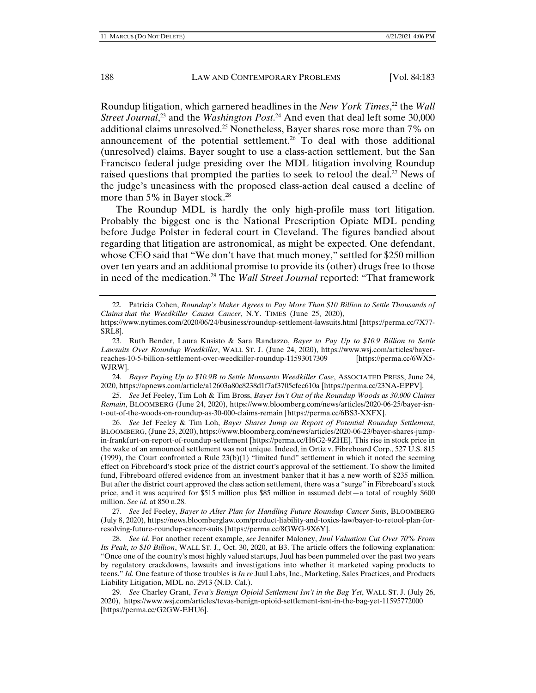Roundup litigation, which garnered headlines in the *New York Times*, 22 the *Wall Street Journal*<sup>23</sup> and the *Washington Post*<sup>24</sup> And even that deal left some 30,000 additional claims unresolved.25 Nonetheless, Bayer shares rose more than 7% on announcement of the potential settlement.<sup>26</sup> To deal with those additional (unresolved) claims, Bayer sought to use a class-action settlement, but the San Francisco federal judge presiding over the MDL litigation involving Roundup raised questions that prompted the parties to seek to retool the deal.<sup>27</sup> News of the judge's uneasiness with the proposed class-action deal caused a decline of more than 5% in Bayer stock.<sup>28</sup>

The Roundup MDL is hardly the only high-profile mass tort litigation. Probably the biggest one is the National Prescription Opiate MDL pending before Judge Polster in federal court in Cleveland. The figures bandied about regarding that litigation are astronomical, as might be expected. One defendant, whose CEO said that "We don't have that much money," settled for \$250 million over ten years and an additional promise to provide its (other) drugs free to those in need of the medication.29 The *Wall Street Journal* reported: "That framework

 24. *Bayer Paying Up to \$10.9B to Settle Monsanto Weedkiller Case*, ASSOCIATED PRESS, June 24, 2020, https://apnews.com/article/a12603a80c8238d1f7af3705cfec610a [https://perma.cc/23NA-EPPV].

 25. *See* Jef Feeley, Tim Loh & Tim Bross, *Bayer Isn't Out of the Roundup Woods as 30,000 Claims Remain*, BLOOMBERG (June 24, 2020), https://www.bloomberg.com/news/articles/2020-06-25/bayer-isnt-out-of-the-woods-on-roundup-as-30-000-claims-remain [https://perma.cc/6BS3-XXFX].

 26. *See* Jef Feeley & Tim Loh, *Bayer Shares Jump on Report of Potential Roundup Settlement*, BLOOMBERG, (June 23, 2020), https://www.bloomberg.com/news/articles/2020-06-23/bayer-shares-jumpin-frankfurt-on-report-of-roundup-settlement [https://perma.cc/H6G2-9ZHE]. This rise in stock price in the wake of an announced settlement was not unique. Indeed, in Ortiz v. Fibreboard Corp., 527 U.S. 815 (1999), the Court confronted a Rule  $23(b)(1)$  "limited fund" settlement in which it noted the seeming effect on Fibreboard's stock price of the district court's approval of the settlement. To show the limited fund, Fibreboard offered evidence from an investment banker that it has a new worth of \$235 million. But after the district court approved the class action settlement, there was a "surge" in Fibreboard's stock price, and it was acquired for \$515 million plus \$85 million in assumed debt—a total of roughly \$600 million. *See id.* at 850 n.28.

 27. *See* Jef Feeley, *Bayer to Alter Plan for Handling Future Roundup Cancer Suits*, BLOOMBERG (July 8, 2020), https://news.bloomberglaw.com/product-liability-and-toxics-law/bayer-to-retool-plan-forresolving-future-roundup-cancer-suits [https://perma.cc/8GWG-9X6Y].

 28. *See id.* For another recent example, *see* Jennifer Maloney, *Juul Valuation Cut Over 70% From Its Peak, to \$10 Billion*, WALL ST. J., Oct. 30, 2020, at B3. The article offers the following explanation: "Once one of the country's most highly valued startups, Juul has been pummeled over the past two years by regulatory crackdowns, lawsuits and investigations into whether it marketed vaping products to teens." *Id.* One feature of those troubles is *In re* Juul Labs, Inc., Marketing, Sales Practices, and Products Liability Litigation, MDL no. 2913 (N.D. Cal.).

 29. *See* Charley Grant, *Teva's Benign Opioid Settlement Isn't in the Bag Yet*, WALL ST. J. (July 26, 2020), https://www.wsj.com/articles/tevas-benign-opioid-settlement-isnt-in-the-bag-yet-11595772000 [https://perma.cc/G2GW-EHU6].

 <sup>22.</sup> Patricia Cohen, *Roundup's Maker Agrees to Pay More Than \$10 Billion to Settle Thousands of Claims that the Weedkiller Causes Cancer*, N.Y. TIMES (June 25, 2020), https://www.nytimes.com/2020/06/24/business/roundup-settlement-lawsuits.html [https://perma.cc/7X77-

SRL8].

 <sup>23.</sup> Ruth Bender, Laura Kusisto & Sara Randazzo, *Bayer to Pay Up to \$10.9 Billion to Settle Lawsuits Over Roundup Weedkiller*, WALL ST. J. (June 24, 2020), https://www.wsj.com/articles/bayerreaches-10-5-billion-settlement-over-weedkiller-roundup-11593017309 [https://perma.cc/6WX5- WJRW].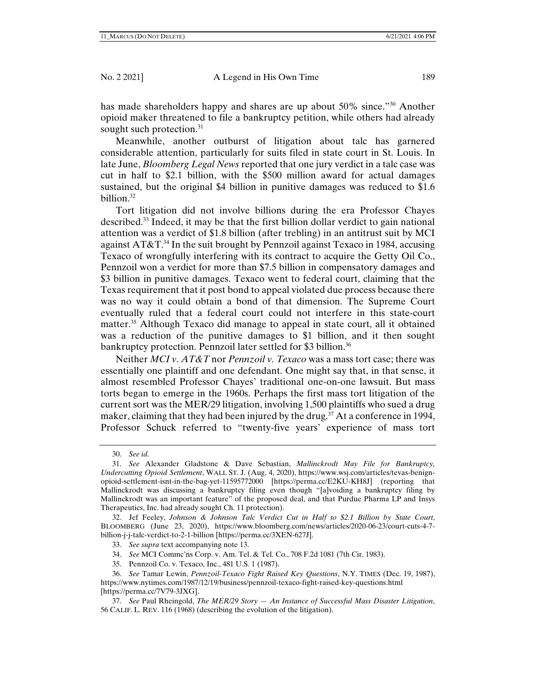has made shareholders happy and shares are up about 50% since.<sup>330</sup> Another opioid maker threatened to file a bankruptcy petition, while others had already sought such protection.<sup>31</sup>

Meanwhile, another outburst of litigation about talc has garnered considerable attention, particularly for suits filed in state court in St. Louis. In late June, *Bloomberg Legal News* reported that one jury verdict in a talc case was cut in half to \$2.1 billion, with the \$500 million award for actual damages sustained, but the original \$4 billion in punitive damages was reduced to \$1.6 billion.32

Tort litigation did not involve billions during the era Professor Chayes described.33 Indeed, it may be that the first billion dollar verdict to gain national attention was a verdict of \$1.8 billion (after trebling) in an antitrust suit by MCI against  $AT&T<sup>34</sup>$  In the suit brought by Pennzoil against Texaco in 1984, accusing Texaco of wrongfully interfering with its contract to acquire the Getty Oil Co., Pennzoil won a verdict for more than \$7.5 billion in compensatory damages and \$3 billion in punitive damages. Texaco went to federal court, claiming that the Texas requirement that it post bond to appeal violated due process because there was no way it could obtain a bond of that dimension. The Supreme Court eventually ruled that a federal court could not interfere in this state-court matter.<sup>35</sup> Although Texaco did manage to appeal in state court, all it obtained was a reduction of the punitive damages to \$1 billion, and it then sought bankruptcy protection. Pennzoil later settled for \$3 billion.<sup>36</sup>

Neither *MCI v. AT&T* nor *Pennzoil v. Texaco* was a mass tort case; there was essentially one plaintiff and one defendant. One might say that, in that sense, it almost resembled Professor Chayes' traditional one-on-one lawsuit. But mass torts began to emerge in the 1960s. Perhaps the first mass tort litigation of the current sort was the MER/29 litigation, involving 1,500 plaintiffs who sued a drug maker, claiming that they had been injured by the drug.<sup>37</sup> At a conference in 1994, Professor Schuck referred to "twenty-five years' experience of mass tort

- 34. *See* MCI Commc'ns Corp. v. Am. Tel. & Tel. Co., 708 F.2d 1081 (7th Cir. 1983).
- 35. Pennzoil Co. v. Texaco, Inc., 481 U.S. 1 (1987).

 <sup>30.</sup> *See id.*

 <sup>31.</sup> *See* Alexander Gladstone & Dave Sebastian, *Mallinckrodt May File for Bankruptcy, Undercutting Opioid Settlement*, WALL ST. J. (Aug. 4, 2020), https://www.wsj.com/articles/tevas-benignopioid-settlement-isnt-in-the-bag-yet-11595772000 [https://perma.cc/E2KU-KH8J] (reporting that Mallinckrodt was discussing a bankruptcy filing even though "[a]voiding a bankruptcy filing by Mallinckrodt was an important feature" of the proposed deal, and that Purdue Pharma LP and Insys Therapeutics, Inc. had already sought Ch. 11 protection).

 <sup>32.</sup> Jef Feeley, *Johnson & Johnson Talc Verdict Cut in Half to \$2.1 Billion by State Court*, BLOOMBERG (June 23, 2020), https://www.bloomberg.com/news/articles/2020-06-23/court-cuts-4-7 billion-j-j-talc-verdict-to-2-1-billion [https://perma.cc/3XEN-627J].

 <sup>33.</sup> *See supra* text accompanying note 13.

 <sup>36.</sup> *See* Tamar Lewin, *Pennzoil-Texaco Fight Raised Key Questions*, N.Y. TIMES (Dec. 19, 1987), https://www.nytimes.com/1987/12/19/business/pennzoil-texaco-fight-raised-key-questions.html [https://perma.cc/7V79-3JXG].

 <sup>37.</sup> *See* Paul Rheingold, *The MER/29 Story — An Instance of Successful Mass Disaster Litigation*, 56 CALIF. L. REV. 116 (1968) (describing the evolution of the litigation).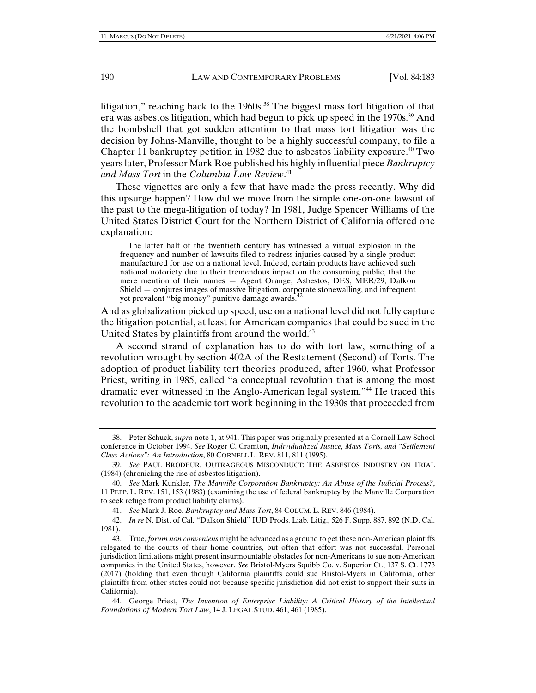litigation," reaching back to the 1960s.<sup>38</sup> The biggest mass tort litigation of that era was asbestos litigation, which had begun to pick up speed in the 1970s.39 And the bombshell that got sudden attention to that mass tort litigation was the decision by Johns-Manville, thought to be a highly successful company, to file a Chapter 11 bankruptcy petition in 1982 due to asbestos liability exposure.<sup>40</sup> Two years later, Professor Mark Roe published his highly influential piece *Bankruptcy and Mass Tort* in the *Columbia Law Review*. 41

These vignettes are only a few that have made the press recently. Why did this upsurge happen? How did we move from the simple one-on-one lawsuit of the past to the mega-litigation of today? In 1981, Judge Spencer Williams of the United States District Court for the Northern District of California offered one explanation:

 The latter half of the twentieth century has witnessed a virtual explosion in the frequency and number of lawsuits filed to redress injuries caused by a single product manufactured for use on a national level. Indeed, certain products have achieved such national notoriety due to their tremendous impact on the consuming public, that the mere mention of their names — Agent Orange, Asbestos, DES, MER/29, Dalkon Shield — conjures images of massive litigation, corporate stonewalling, and infrequent yet prevalent "big money" punitive damage awards.<sup>42</sup>

And as globalization picked up speed, use on a national level did not fully capture the litigation potential, at least for American companies that could be sued in the United States by plaintiffs from around the world.<sup>43</sup>

A second strand of explanation has to do with tort law, something of a revolution wrought by section 402A of the Restatement (Second) of Torts. The adoption of product liability tort theories produced, after 1960, what Professor Priest, writing in 1985, called "a conceptual revolution that is among the most dramatic ever witnessed in the Anglo-American legal system."44 He traced this revolution to the academic tort work beginning in the 1930s that proceeded from

 <sup>38.</sup> Peter Schuck, *supra* note 1, at 941. This paper was originally presented at a Cornell Law School conference in October 1994. *See* Roger C. Cramton, *Individualized Justice, Mass Torts, and "Settlement Class Actions": An Introduction*, 80 CORNELL L. REV. 811, 811 (1995).

 <sup>39.</sup> *See* PAUL BRODEUR, OUTRAGEOUS MISCONDUCT: THE ASBESTOS INDUSTRY ON TRIAL (1984) (chronicling the rise of asbestos litigation).

 <sup>40.</sup> *See* Mark Kunkler, *The Manville Corporation Bankruptcy: An Abuse of the Judicial Process?*, 11 PEPP. L. REV. 151, 153 (1983) (examining the use of federal bankruptcy by the Manville Corporation to seek refuge from product liability claims).

 <sup>41.</sup> *See* Mark J. Roe, *Bankruptcy and Mass Tort*, 84 COLUM. L. REV. 846 (1984).

 <sup>42.</sup> *In re* N. Dist. of Cal. "Dalkon Shield" IUD Prods. Liab. Litig., 526 F. Supp. 887, 892 (N.D. Cal. 1981).

 <sup>43.</sup> True, *forum non conveniens* might be advanced as a ground to get these non-American plaintiffs relegated to the courts of their home countries, but often that effort was not successful. Personal jurisdiction limitations might present insurmountable obstacles for non-Americans to sue non-American companies in the United States, however. *See* Bristol-Myers Squibb Co. v. Superior Ct., 137 S. Ct. 1773 (2017) (holding that even though California plaintiffs could sue Bristol-Myers in California, other plaintiffs from other states could not because specific jurisdiction did not exist to support their suits in California).

 <sup>44.</sup> George Priest, *The Invention of Enterprise Liability: A Critical History of the Intellectual Foundations of Modern Tort Law*, 14 J. LEGAL STUD. 461, 461 (1985).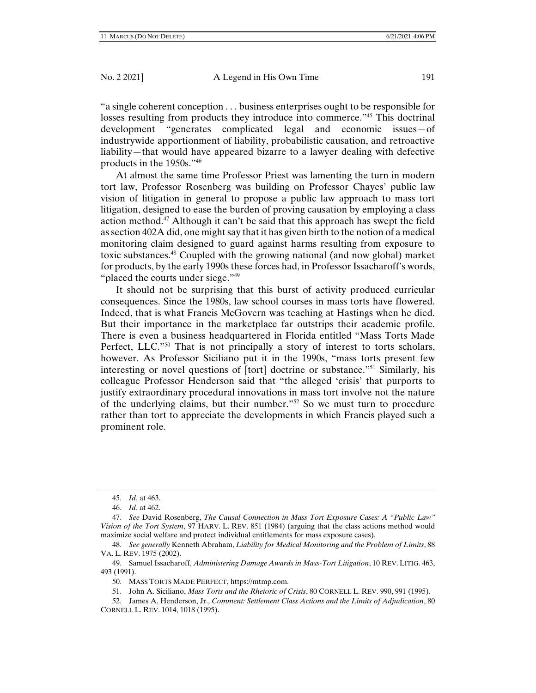"a single coherent conception . . . business enterprises ought to be responsible for losses resulting from products they introduce into commerce."45 This doctrinal development "generates complicated legal and economic issues—of industrywide apportionment of liability, probabilistic causation, and retroactive liability—that would have appeared bizarre to a lawyer dealing with defective products in the 1950s."46

At almost the same time Professor Priest was lamenting the turn in modern tort law, Professor Rosenberg was building on Professor Chayes' public law vision of litigation in general to propose a public law approach to mass tort litigation, designed to ease the burden of proving causation by employing a class action method.<sup>47</sup> Although it can't be said that this approach has swept the field as section 402A did, one might say that it has given birth to the notion of a medical monitoring claim designed to guard against harms resulting from exposure to toxic substances.48 Coupled with the growing national (and now global) market for products, by the early 1990s these forces had, in Professor Issacharoff's words, "placed the courts under siege."<sup>49</sup>

It should not be surprising that this burst of activity produced curricular consequences. Since the 1980s, law school courses in mass torts have flowered. Indeed, that is what Francis McGovern was teaching at Hastings when he died. But their importance in the marketplace far outstrips their academic profile. There is even a business headquartered in Florida entitled "Mass Torts Made Perfect, LLC."<sup>50</sup> That is not principally a story of interest to torts scholars, however. As Professor Siciliano put it in the 1990s, "mass torts present few interesting or novel questions of [tort] doctrine or substance."51 Similarly, his colleague Professor Henderson said that "the alleged 'crisis' that purports to justify extraordinary procedural innovations in mass tort involve not the nature of the underlying claims, but their number."52 So we must turn to procedure rather than tort to appreciate the developments in which Francis played such a prominent role.

 52. James A. Henderson, Jr., *Comment: Settlement Class Actions and the Limits of Adjudication*, 80 CORNELL L. REV. 1014, 1018 (1995).

 <sup>45.</sup> *Id.* at 463.

 <sup>46.</sup> *Id.* at 462.

 <sup>47.</sup> *See* David Rosenberg, *The Causal Connection in Mass Tort Exposure Cases: A "Public Law" Vision of the Tort System*, 97 HARV. L. REV. 851 (1984) (arguing that the class actions method would maximize social welfare and protect individual entitlements for mass exposure cases).

 <sup>48.</sup> *See generally* Kenneth Abraham, *Liability for Medical Monitoring and the Problem of Limits*, 88 VA. L. REV. 1975 (2002).

 <sup>49.</sup> Samuel Issacharoff, *Administering Damage Awards in Mass-Tort Litigation*, 10 REV. LITIG. 463, 493 (1991).

 <sup>50.</sup> MASS TORTS MADE PERFECT, https://mtmp.com.

 <sup>51.</sup> John A. Siciliano, *Mass Torts and the Rhetoric of Crisis*, 80 CORNELL L. REV. 990, 991 (1995).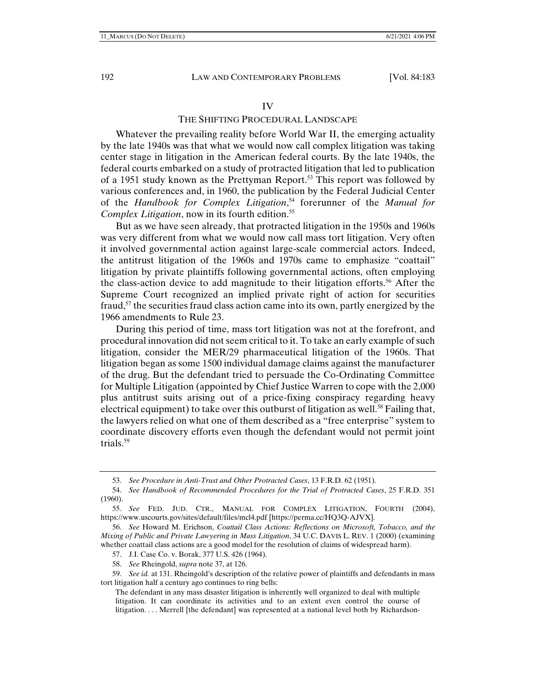# IV THE SHIFTING PROCEDURAL LANDSCAPE

Whatever the prevailing reality before World War II, the emerging actuality by the late 1940s was that what we would now call complex litigation was taking center stage in litigation in the American federal courts. By the late 1940s, the federal courts embarked on a study of protracted litigation that led to publication of a 1951 study known as the Prettyman Report.<sup>53</sup> This report was followed by various conferences and, in 1960, the publication by the Federal Judicial Center of the *Handbook for Complex Litigation*, 54 forerunner of the *Manual for Complex Litigation*, now in its fourth edition.55

But as we have seen already, that protracted litigation in the 1950s and 1960s was very different from what we would now call mass tort litigation. Very often it involved governmental action against large-scale commercial actors. Indeed, the antitrust litigation of the 1960s and 1970s came to emphasize "coattail" litigation by private plaintiffs following governmental actions, often employing the class-action device to add magnitude to their litigation efforts.56 After the Supreme Court recognized an implied private right of action for securities fraud,<sup>57</sup> the securities fraud class action came into its own, partly energized by the 1966 amendments to Rule 23.

During this period of time, mass tort litigation was not at the forefront, and procedural innovation did not seem critical to it. To take an early example of such litigation, consider the MER/29 pharmaceutical litigation of the 1960s. That litigation began as some 1500 individual damage claims against the manufacturer of the drug. But the defendant tried to persuade the Co-Ordinating Committee for Multiple Litigation (appointed by Chief Justice Warren to cope with the 2,000 plus antitrust suits arising out of a price-fixing conspiracy regarding heavy electrical equipment) to take over this outburst of litigation as well.<sup>58</sup> Failing that, the lawyers relied on what one of them described as a "free enterprise" system to coordinate discovery efforts even though the defendant would not permit joint trials.<sup>59</sup>

 <sup>53.</sup> *See Procedure in Anti-Trust and Other Protracted Cases*, 13 F.R.D. 62 (1951).

 <sup>54.</sup> *See Handbook of Recommended Procedures for the Trial of Protracted Cases*, 25 F.R.D. 351 (1960).

 <sup>55.</sup> *See* FED. JUD. CTR., MANUAL FOR COMPLEX LITIGATION, FOURTH (2004), https://www.uscourts.gov/sites/default/files/mcl4.pdf [https://perma.cc/HQ3Q-AJVX].

 <sup>56.</sup> *See* Howard M. Erichson, *Coattail Class Actions: Reflections on Microsoft, Tobacco, and the Mixing of Public and Private Lawyering in Mass Litigation*, 34 U.C. DAVIS L. REV. 1 (2000) (examining whether coattail class actions are a good model for the resolution of claims of widespread harm).

 <sup>57.</sup> J.I. Case Co. v. Borak, 377 U.S. 426 (1964).

 <sup>58.</sup> *See* Rheingold, *supra* note 37, at 126.

 <sup>59.</sup> *See id.* at 131. Rheingold's description of the relative power of plaintiffs and defendants in mass tort litigation half a century ago continues to ring bells:

The defendant in any mass disaster litigation is inherently well organized to deal with multiple litigation. It can coordinate its activities and to an extent even control the course of litigation. . . . Merrell [the defendant] was represented at a national level both by Richardson-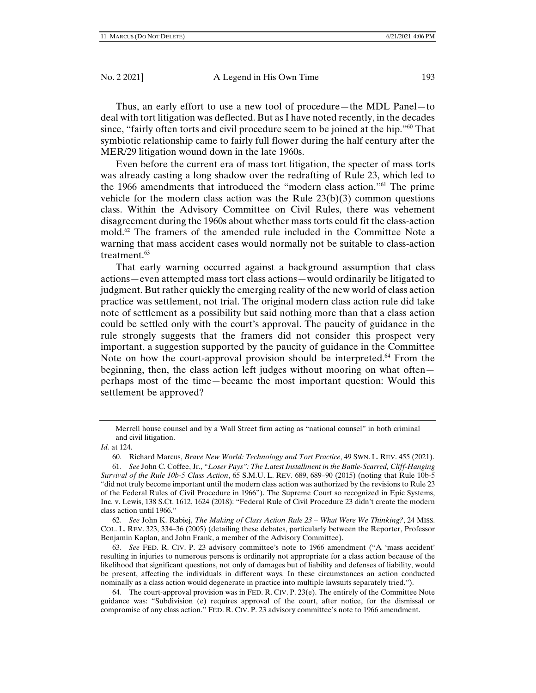Thus, an early effort to use a new tool of procedure—the MDL Panel—to deal with tort litigation was deflected. But as I have noted recently, in the decades since, "fairly often torts and civil procedure seem to be joined at the hip."<sup>60</sup> That symbiotic relationship came to fairly full flower during the half century after the MER/29 litigation wound down in the late 1960s.

Even before the current era of mass tort litigation, the specter of mass torts was already casting a long shadow over the redrafting of Rule 23, which led to the 1966 amendments that introduced the "modern class action."61 The prime vehicle for the modern class action was the Rule  $23(b)(3)$  common questions class. Within the Advisory Committee on Civil Rules, there was vehement disagreement during the 1960s about whether mass torts could fit the class-action mold.<sup>62</sup> The framers of the amended rule included in the Committee Note a warning that mass accident cases would normally not be suitable to class-action treatment.<sup>63</sup>

That early warning occurred against a background assumption that class actions—even attempted mass tort class actions—would ordinarily be litigated to judgment. But rather quickly the emerging reality of the new world of class action practice was settlement, not trial. The original modern class action rule did take note of settlement as a possibility but said nothing more than that a class action could be settled only with the court's approval. The paucity of guidance in the rule strongly suggests that the framers did not consider this prospect very important, a suggestion supported by the paucity of guidance in the Committee Note on how the court-approval provision should be interpreted.<sup>64</sup> From the beginning, then, the class action left judges without mooring on what often perhaps most of the time—became the most important question: Would this settlement be approved?

*Id.* at 124.

60. Richard Marcus, *Brave New World: Technology and Tort Practice*, 49 SWN. L. REV. 455 (2021).

 62. *See* John K. Rabiej, *The Making of Class Action Rule 23 – What Were We Thinking?*, 24 MISS. COL. L. REV. 323, 334–36 (2005) (detailing these debates, particularly between the Reporter, Professor Benjamin Kaplan, and John Frank, a member of the Advisory Committee).

 63. *See* FED. R. CIV. P. 23 advisory committee's note to 1966 amendment ("A 'mass accident' resulting in injuries to numerous persons is ordinarily not appropriate for a class action because of the likelihood that significant questions, not only of damages but of liability and defenses of liability, would be present, affecting the individuals in different ways. In these circumstances an action conducted nominally as a class action would degenerate in practice into multiple lawsuits separately tried.").

 64. The court-approval provision was in FED. R. CIV. P. 23(e). The entirely of the Committee Note guidance was: "Subdivision (e) requires approval of the court, after notice, for the dismissal or compromise of any class action." FED. R. CIV. P. 23 advisory committee's note to 1966 amendment.

Merrell house counsel and by a Wall Street firm acting as "national counsel" in both criminal and civil litigation.

 <sup>61.</sup> *See* John C. Coffee, Jr., *"Loser Pays": The Latest Installment in the Battle-Scarred, Cliff-Hanging Survival of the Rule 10b-5 Class Action*, 65 S.M.U. L. REV. 689, 689–90 (2015) (noting that Rule 10b-5 "did not truly become important until the modern class action was authorized by the revisions to Rule 23 of the Federal Rules of Civil Procedure in 1966"). The Supreme Court so recognized in Epic Systems, Inc. v. Lewis, 138 S.Ct. 1612, 1624 (2018): "Federal Rule of Civil Procedure 23 didn't create the modern class action until 1966."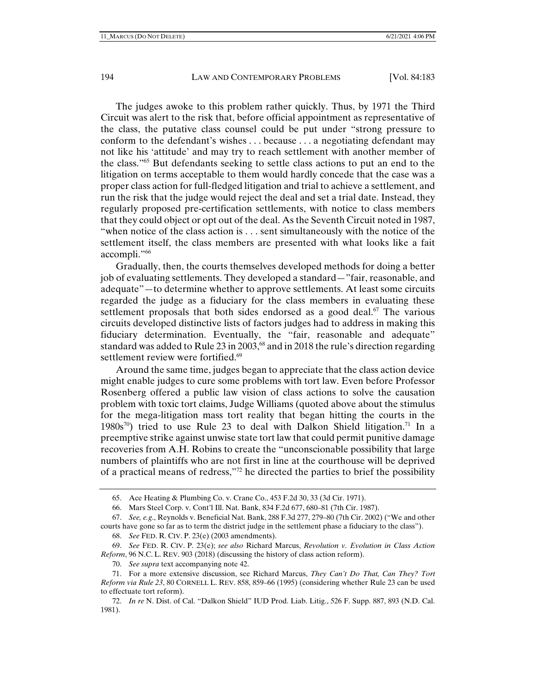The judges awoke to this problem rather quickly. Thus, by 1971 the Third Circuit was alert to the risk that, before official appointment as representative of the class, the putative class counsel could be put under "strong pressure to conform to the defendant's wishes . . . because . . . a negotiating defendant may not like his 'attitude' and may try to reach settlement with another member of the class."65 But defendants seeking to settle class actions to put an end to the litigation on terms acceptable to them would hardly concede that the case was a proper class action for full-fledged litigation and trial to achieve a settlement, and run the risk that the judge would reject the deal and set a trial date. Instead, they regularly proposed pre-certification settlements, with notice to class members that they could object or opt out of the deal. As the Seventh Circuit noted in 1987, "when notice of the class action is . . . sent simultaneously with the notice of the settlement itself, the class members are presented with what looks like a fait accompli."66

Gradually, then, the courts themselves developed methods for doing a better job of evaluating settlements. They developed a standard—"fair, reasonable, and adequate"—to determine whether to approve settlements. At least some circuits regarded the judge as a fiduciary for the class members in evaluating these settlement proposals that both sides endorsed as a good deal.<sup>67</sup> The various circuits developed distinctive lists of factors judges had to address in making this fiduciary determination. Eventually, the "fair, reasonable and adequate" standard was added to Rule 23 in 2003,<sup>68</sup> and in 2018 the rule's direction regarding settlement review were fortified.<sup>69</sup>

Around the same time, judges began to appreciate that the class action device might enable judges to cure some problems with tort law. Even before Professor Rosenberg offered a public law vision of class actions to solve the causation problem with toxic tort claims, Judge Williams (quoted above about the stimulus for the mega-litigation mass tort reality that began hitting the courts in the  $1980s^{70}$ ) tried to use Rule 23 to deal with Dalkon Shield litigation.<sup>71</sup> In a preemptive strike against unwise state tort law that could permit punitive damage recoveries from A.H. Robins to create the "unconscionable possibility that large numbers of plaintiffs who are not first in line at the courthouse will be deprived of a practical means of redress,"72 he directed the parties to brief the possibility

70. *See supra* text accompanying note 42.

 <sup>65.</sup> Ace Heating & Plumbing Co. v. Crane Co., 453 F.2d 30, 33 (3d Cir. 1971).

 <sup>66.</sup> Mars Steel Corp. v. Cont'l Ill. Nat. Bank, 834 F.2d 677, 680–81 (7th Cir. 1987).

 <sup>67.</sup> *See, e.g*., Reynolds v. Beneficial Nat. Bank, 288 F.3d 277, 279–80 (7th Cir. 2002) ("We and other courts have gone so far as to term the district judge in the settlement phase a fiduciary to the class").

 <sup>68.</sup> *See* FED. R. CIV. P. 23(e) (2003 amendments).

 <sup>69.</sup> *See* FED. R. CIV. P. 23(e); *see also* Richard Marcus, *Revolution v. Evolution in Class Action Reform*, 96 N.C. L. REV. 903 (2018) (discussing the history of class action reform).

 <sup>71.</sup> For a more extensive discussion, see Richard Marcus, *They Can't Do That, Can They? Tort Reform via Rule 23*, 80 CORNELL L. REV. 858, 859–66 (1995) (considering whether Rule 23 can be used to effectuate tort reform).

 <sup>72.</sup> *In re* N. Dist. of Cal. "Dalkon Shield" IUD Prod. Liab. Litig., 526 F. Supp. 887, 893 (N.D. Cal. 1981).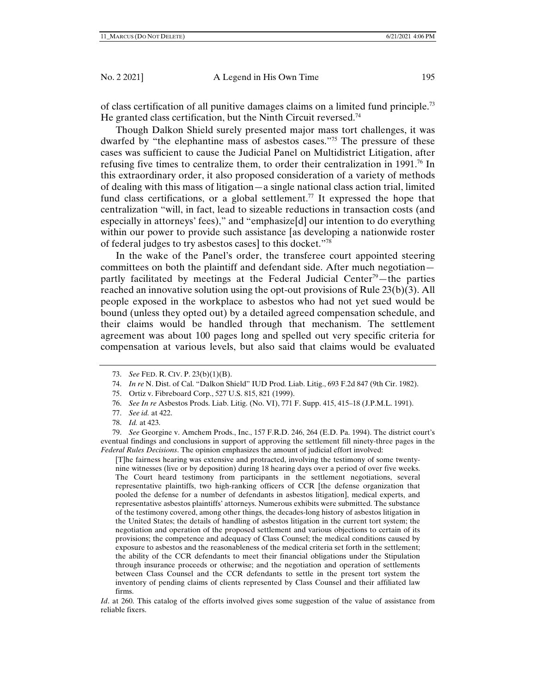of class certification of all punitive damages claims on a limited fund principle.73 He granted class certification, but the Ninth Circuit reversed.<sup>74</sup>

Though Dalkon Shield surely presented major mass tort challenges, it was dwarfed by "the elephantine mass of asbestos cases."75 The pressure of these cases was sufficient to cause the Judicial Panel on Multidistrict Litigation, after refusing five times to centralize them, to order their centralization in 1991.<sup>76</sup> In this extraordinary order, it also proposed consideration of a variety of methods of dealing with this mass of litigation—a single national class action trial, limited fund class certifications, or a global settlement.<sup>77</sup> It expressed the hope that centralization "will, in fact, lead to sizeable reductions in transaction costs (and especially in attorneys' fees)," and "emphasize[d] our intention to do everything within our power to provide such assistance [as developing a nationwide roster of federal judges to try asbestos cases] to this docket."78

In the wake of the Panel's order, the transferee court appointed steering committees on both the plaintiff and defendant side. After much negotiation partly facilitated by meetings at the Federal Judicial Center<sup>79</sup>—the parties reached an innovative solution using the opt-out provisions of Rule 23(b)(3). All people exposed in the workplace to asbestos who had not yet sued would be bound (unless they opted out) by a detailed agreed compensation schedule, and their claims would be handled through that mechanism. The settlement agreement was about 100 pages long and spelled out very specific criteria for compensation at various levels, but also said that claims would be evaluated

 79. *See* Georgine v. Amchem Prods., Inc., 157 F.R.D. 246, 264 (E.D. Pa. 1994). The district court's eventual findings and conclusions in support of approving the settlement fill ninety-three pages in the *Federal Rules Decisions*. The opinion emphasizes the amount of judicial effort involved:

[T]he fairness hearing was extensive and protracted, involving the testimony of some twentynine witnesses (live or by deposition) during 18 hearing days over a period of over five weeks. The Court heard testimony from participants in the settlement negotiations, several representative plaintiffs, two high-ranking officers of CCR [the defense organization that pooled the defense for a number of defendants in asbestos litigation], medical experts, and representative asbestos plaintiffs' attorneys. Numerous exhibits were submitted. The substance of the testimony covered, among other things, the decades-long history of asbestos litigation in the United States; the details of handling of asbestos litigation in the current tort system; the negotiation and operation of the proposed settlement and various objections to certain of its provisions; the competence and adequacy of Class Counsel; the medical conditions caused by exposure to asbestos and the reasonableness of the medical criteria set forth in the settlement; the ability of the CCR defendants to meet their financial obligations under the Stipulation through insurance proceeds or otherwise; and the negotiation and operation of settlements between Class Counsel and the CCR defendants to settle in the present tort system the inventory of pending claims of clients represented by Class Counsel and their affiliated law firms.

*Id.* at 260. This catalog of the efforts involved gives some suggestion of the value of assistance from reliable fixers.

 <sup>73.</sup> *See* FED. R. CIV. P. 23(b)(1)(B).

 <sup>74.</sup> *In re* N. Dist. of Cal. "Dalkon Shield" IUD Prod. Liab. Litig., 693 F.2d 847 (9th Cir. 1982).

 <sup>75.</sup> Ortiz v. Fibreboard Corp., 527 U.S. 815, 821 (1999).

 <sup>76.</sup> *See In re* Asbestos Prods. Liab. Litig. (No. VI), 771 F. Supp. 415, 415–18 (J.P.M.L. 1991).

 <sup>77.</sup> *See id.* at 422.

 <sup>78.</sup> *Id.* at 423.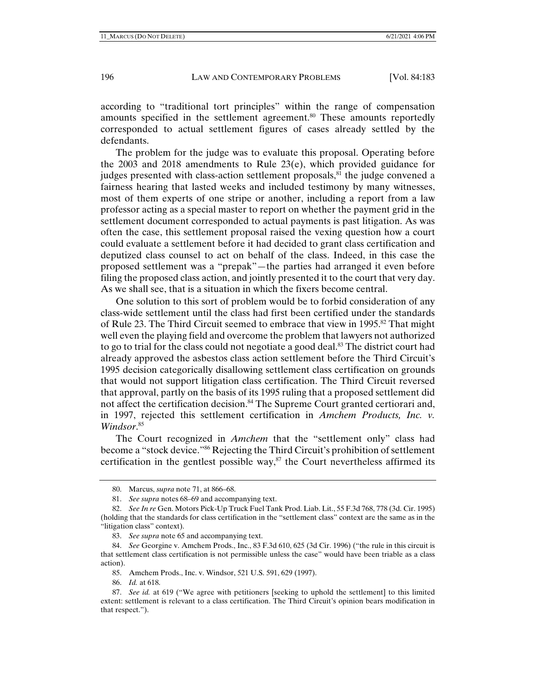according to "traditional tort principles" within the range of compensation amounts specified in the settlement agreement.<sup>80</sup> These amounts reportedly corresponded to actual settlement figures of cases already settled by the defendants.

The problem for the judge was to evaluate this proposal. Operating before the 2003 and 2018 amendments to Rule  $23(e)$ , which provided guidance for judges presented with class-action settlement proposals, ${}^{81}$  the judge convened a fairness hearing that lasted weeks and included testimony by many witnesses, most of them experts of one stripe or another, including a report from a law professor acting as a special master to report on whether the payment grid in the settlement document corresponded to actual payments is past litigation. As was often the case, this settlement proposal raised the vexing question how a court could evaluate a settlement before it had decided to grant class certification and deputized class counsel to act on behalf of the class. Indeed, in this case the proposed settlement was a "prepak"—the parties had arranged it even before filing the proposed class action, and jointly presented it to the court that very day. As we shall see, that is a situation in which the fixers become central.

One solution to this sort of problem would be to forbid consideration of any class-wide settlement until the class had first been certified under the standards of Rule 23. The Third Circuit seemed to embrace that view in 1995.<sup>82</sup> That might well even the playing field and overcome the problem that lawyers not authorized to go to trial for the class could not negotiate a good deal.<sup>83</sup> The district court had already approved the asbestos class action settlement before the Third Circuit's 1995 decision categorically disallowing settlement class certification on grounds that would not support litigation class certification. The Third Circuit reversed that approval, partly on the basis of its 1995 ruling that a proposed settlement did not affect the certification decision.<sup>84</sup> The Supreme Court granted certiorari and, in 1997, rejected this settlement certification in *Amchem Products, Inc. v. Windsor*. 85

The Court recognized in *Amchem* that the "settlement only" class had become a "stock device."86 Rejecting the Third Circuit's prohibition of settlement certification in the gentlest possible way, $87$  the Court nevertheless affirmed its

 <sup>80.</sup> Marcus, *supra* note 71, at 866–68.

 <sup>81.</sup> *See supra* notes 68–69 and accompanying text.

 <sup>82.</sup> *See In re* Gen. Motors Pick-Up Truck Fuel Tank Prod. Liab. Lit., 55 F.3d 768, 778 (3d. Cir. 1995) (holding that the standards for class certification in the "settlement class" context are the same as in the "litigation class" context).

 <sup>83.</sup> *See supra* note 65 and accompanying text.

 <sup>84.</sup> *See* Georgine v. Amchem Prods., Inc., 83 F.3d 610, 625 (3d Cir. 1996) ("the rule in this circuit is that settlement class certification is not permissible unless the case" would have been triable as a class action).

 <sup>85.</sup> Amchem Prods., Inc. v. Windsor, 521 U.S. 591, 629 (1997).

 <sup>86.</sup> *Id.* at 618.

 <sup>87.</sup> *See id.* at 619 ("We agree with petitioners [seeking to uphold the settlement] to this limited extent: settlement is relevant to a class certification. The Third Circuit's opinion bears modification in that respect.").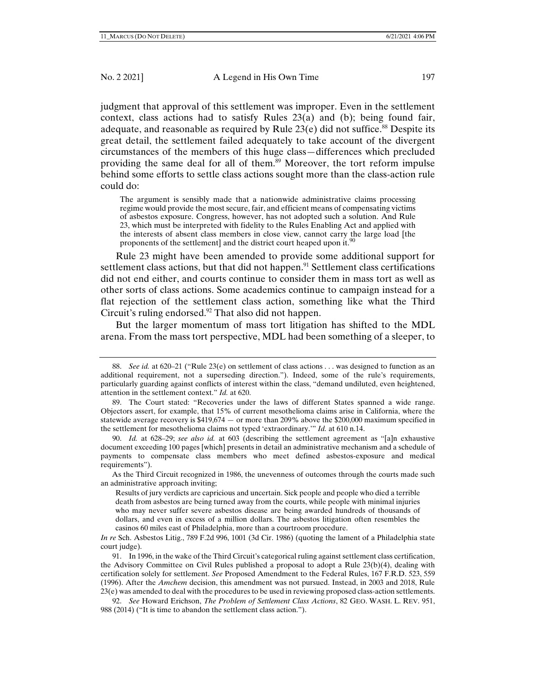judgment that approval of this settlement was improper. Even in the settlement context, class actions had to satisfy Rules  $23(a)$  and (b); being found fair, adequate, and reasonable as required by Rule  $23(e)$  did not suffice.<sup>88</sup> Despite its great detail, the settlement failed adequately to take account of the divergent circumstances of the members of this huge class—differences which precluded providing the same deal for all of them.<sup>89</sup> Moreover, the tort reform impulse behind some efforts to settle class actions sought more than the class-action rule could do:

The argument is sensibly made that a nationwide administrative claims processing regime would provide the most secure, fair, and efficient means of compensating victims of asbestos exposure. Congress, however, has not adopted such a solution. And Rule 23, which must be interpreted with fidelity to the Rules Enabling Act and applied with the interests of absent class members in close view, cannot carry the large load [the proponents of the settlement] and the district court heaped upon it.<sup>90</sup>

Rule 23 might have been amended to provide some additional support for settlement class actions, but that did not happen.<sup>91</sup> Settlement class certifications did not end either, and courts continue to consider them in mass tort as well as other sorts of class actions. Some academics continue to campaign instead for a flat rejection of the settlement class action, something like what the Third Circuit's ruling endorsed.<sup>92</sup> That also did not happen.

But the larger momentum of mass tort litigation has shifted to the MDL arena. From the mass tort perspective, MDL had been something of a sleeper, to

As the Third Circuit recognized in 1986, the unevenness of outcomes through the courts made such an administrative approach inviting;

Results of jury verdicts are capricious and uncertain. Sick people and people who died a terrible death from asbestos are being turned away from the courts, while people with minimal injuries who may never suffer severe asbestos disease are being awarded hundreds of thousands of dollars, and even in excess of a million dollars. The asbestos litigation often resembles the casinos 60 miles east of Philadelphia, more than a courtroom procedure.

*In re* Sch. Asbestos Litig., 789 F.2d 996, 1001 (3d Cir. 1986) (quoting the lament of a Philadelphia state court judge).

 <sup>88.</sup> *See id.* at 620–21 ("Rule 23(e) on settlement of class actions . . . was designed to function as an additional requirement, not a superseding direction."). Indeed, some of the rule's requirements, particularly guarding against conflicts of interest within the class, "demand undiluted, even heightened, attention in the settlement context." *Id.* at 620.

 <sup>89.</sup> The Court stated: "Recoveries under the laws of different States spanned a wide range. Objectors assert, for example, that 15% of current mesothelioma claims arise in California, where the statewide average recovery is \$419,674 — or more than 209% above the \$200,000 maximum specified in the settlement for mesothelioma claims not typed 'extraordinary.'" *Id.* at 610 n.14.

 <sup>90.</sup> *Id.* at 628–29; *see also id.* at 603 (describing the settlement agreement as "[a]n exhaustive document exceeding 100 pages [which] presents in detail an administrative mechanism and a schedule of payments to compensate class members who meet defined asbestos-exposure and medical requirements").

 <sup>91.</sup> In 1996, in the wake of the Third Circuit's categorical ruling against settlement class certification, the Advisory Committee on Civil Rules published a proposal to adopt a Rule 23(b)(4), dealing with certification solely for settlement. *See* Proposed Amendment to the Federal Rules, 167 F.R.D. 523, 559 (1996). After the *Amchem* decision, this amendment was not pursued. Instead, in 2003 and 2018, Rule  $23(e)$  was amended to deal with the procedures to be used in reviewing proposed class-action settlements.

 <sup>92.</sup> *See* Howard Erichson, *The Problem of Settlement Class Actions*, 82 GEO. WASH. L. REV. 951, 988 (2014) ("It is time to abandon the settlement class action.").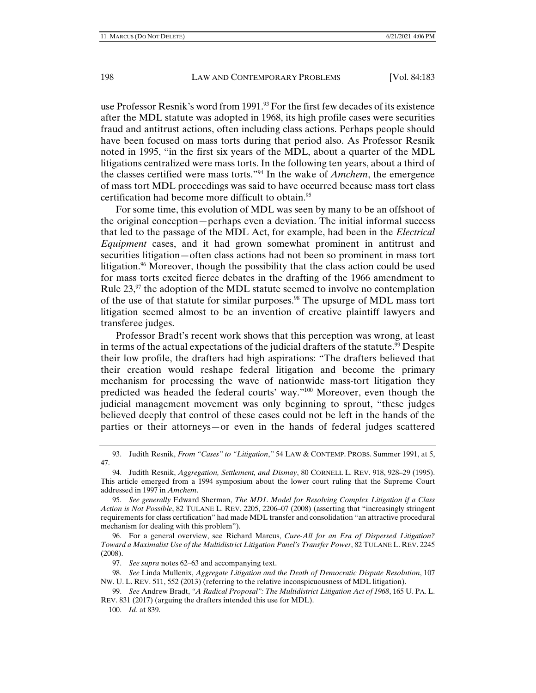use Professor Resnik's word from 1991.<sup>93</sup> For the first few decades of its existence after the MDL statute was adopted in 1968, its high profile cases were securities fraud and antitrust actions, often including class actions. Perhaps people should have been focused on mass torts during that period also. As Professor Resnik noted in 1995, "in the first six years of the MDL, about a quarter of the MDL litigations centralized were mass torts. In the following ten years, about a third of the classes certified were mass torts."94 In the wake of *Amchem*, the emergence of mass tort MDL proceedings was said to have occurred because mass tort class certification had become more difficult to obtain.<sup>95</sup>

For some time, this evolution of MDL was seen by many to be an offshoot of the original conception—perhaps even a deviation. The initial informal success that led to the passage of the MDL Act, for example, had been in the *Electrical Equipment* cases, and it had grown somewhat prominent in antitrust and securities litigation—often class actions had not been so prominent in mass tort litigation.<sup>96</sup> Moreover, though the possibility that the class action could be used for mass torts excited fierce debates in the drafting of the 1966 amendment to Rule  $23$ ,  $\frac{97}{7}$  the adoption of the MDL statute seemed to involve no contemplation of the use of that statute for similar purposes.<sup>98</sup> The upsurge of MDL mass tort litigation seemed almost to be an invention of creative plaintiff lawyers and transferee judges.

Professor Bradt's recent work shows that this perception was wrong, at least in terms of the actual expectations of the judicial drafters of the statute.<sup>99</sup> Despite their low profile, the drafters had high aspirations: "The drafters believed that their creation would reshape federal litigation and become the primary mechanism for processing the wave of nationwide mass-tort litigation they predicted was headed the federal courts' way."100 Moreover, even though the judicial management movement was only beginning to sprout, "these judges believed deeply that control of these cases could not be left in the hands of the parties or their attorneys—or even in the hands of federal judges scattered

 95. *See generally* Edward Sherman, *The MDL Model for Resolving Complex Litigation if a Class Action is Not Possible*, 82 TULANE L. REV. 2205, 2206–07 (2008) (asserting that "increasingly stringent requirements for class certification" had made MDL transfer and consolidation "an attractive procedural mechanism for dealing with this problem").

 96. For a general overview, see Richard Marcus, *Cure-All for an Era of Dispersed Litigation? Toward a Maximalist Use of the Multidistrict Litigation Panel's Transfer Power*, 82 TULANE L. REV. 2245 (2008).

97. *See supra* notes 62–63 and accompanying text.

 99. *See* Andrew Bradt, *"A Radical Proposal": The Multidistrict Litigation Act of 1968*, 165 U. PA. L. REV. 831 (2017) (arguing the drafters intended this use for MDL).

 <sup>93.</sup> Judith Resnik, *From "Cases" to "Litigation*,*"* 54 LAW & CONTEMP. PROBS. Summer 1991, at 5, 47.

 <sup>94.</sup> Judith Resnik, *Aggregation, Settlement, and Dismay*, 80 CORNELL L. REV. 918, 928–29 (1995). This article emerged from a 1994 symposium about the lower court ruling that the Supreme Court addressed in 1997 in *Amchem*.

 <sup>98.</sup> *See* Linda Mullenix, *Aggregate Litigation and the Death of Democratic Dispute Resolution*, 107 NW. U. L. REV. 511, 552 (2013) (referring to the relative inconspicuousness of MDL litigation).

 <sup>100.</sup> *Id.* at 839.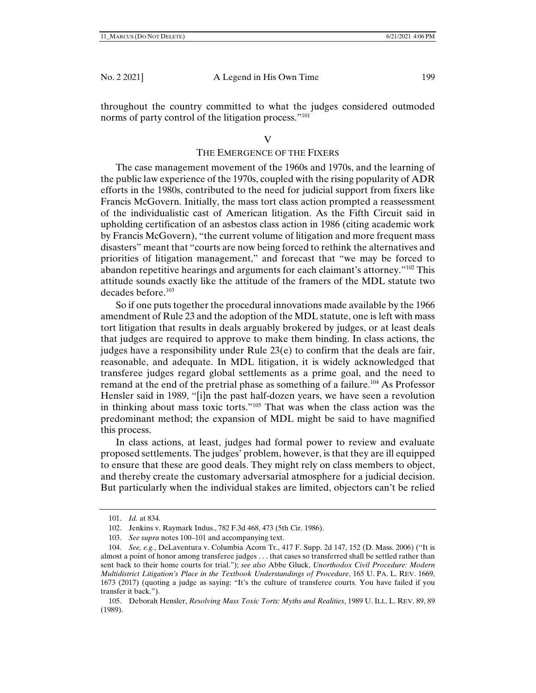throughout the country committed to what the judges considered outmoded norms of party control of the litigation process."<sup>101</sup>

#### V

#### THE EMERGENCE OF THE FIXERS

The case management movement of the 1960s and 1970s, and the learning of the public law experience of the 1970s, coupled with the rising popularity of ADR efforts in the 1980s, contributed to the need for judicial support from fixers like Francis McGovern. Initially, the mass tort class action prompted a reassessment of the individualistic cast of American litigation. As the Fifth Circuit said in upholding certification of an asbestos class action in 1986 (citing academic work by Francis McGovern), "the current volume of litigation and more frequent mass disasters" meant that "courts are now being forced to rethink the alternatives and priorities of litigation management," and forecast that "we may be forced to abandon repetitive hearings and arguments for each claimant's attorney."102 This attitude sounds exactly like the attitude of the framers of the MDL statute two decades before.103

So if one puts together the procedural innovations made available by the 1966 amendment of Rule 23 and the adoption of the MDL statute, one is left with mass tort litigation that results in deals arguably brokered by judges, or at least deals that judges are required to approve to make them binding. In class actions, the judges have a responsibility under Rule  $23(e)$  to confirm that the deals are fair, reasonable, and adequate. In MDL litigation, it is widely acknowledged that transferee judges regard global settlements as a prime goal, and the need to remand at the end of the pretrial phase as something of a failure.104 As Professor Hensler said in 1989, "[i]n the past half-dozen years, we have seen a revolution in thinking about mass toxic torts."105 That was when the class action was the predominant method; the expansion of MDL might be said to have magnified this process.

In class actions, at least, judges had formal power to review and evaluate proposed settlements. The judges' problem, however, is that they are ill equipped to ensure that these are good deals. They might rely on class members to object, and thereby create the customary adversarial atmosphere for a judicial decision. But particularly when the individual stakes are limited, objectors can't be relied

 <sup>101.</sup> *Id.* at 834.

 <sup>102.</sup> Jenkins v. Raymark Indus., 782 F.3d 468, 473 (5th Cir. 1986).

 <sup>103.</sup> *See supra* notes 100–101 and accompanying text.

 <sup>104.</sup> *See, e.g.*, DeLaventura v. Columbia Acorn Tr., 417 F. Supp. 2d 147, 152 (D. Mass. 2006) ("It is almost a point of honor among transferee judges . . . that cases so transferred shall be settled rather than sent back to their home courts for trial."); *see also* Abbe Gluck, *Unorthodox Civil Procedure: Modern Multidistrict Litigation's Place in the Textbook Understandings of Procedure*, 165 U. PA. L. REV. 1669, 1673 (2017) (quoting a judge as saying: "It's the culture of transferee courts. You have failed if you transfer it back.").

 <sup>105.</sup> Deborah Hensler, *Resolving Mass Toxic Torts: Myths and Realities*, 1989 U. ILL. L. REV. 89, 89 (1989).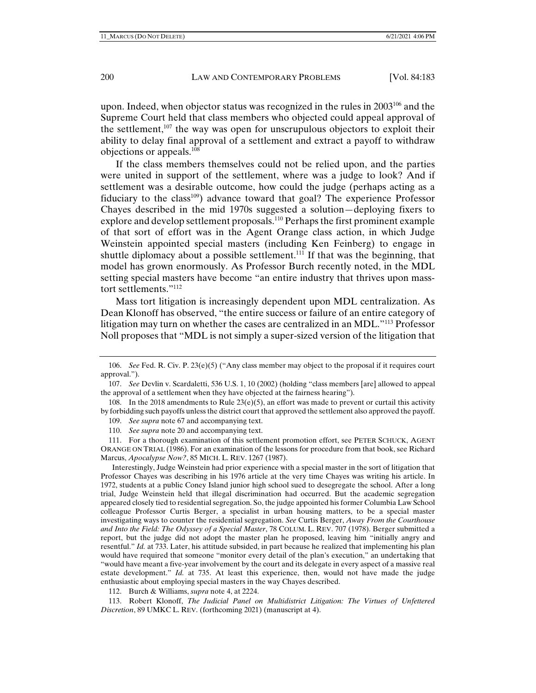upon. Indeed, when objector status was recognized in the rules in  $2003^{106}$  and the Supreme Court held that class members who objected could appeal approval of the settlement,<sup>107</sup> the way was open for unscrupulous objectors to exploit their ability to delay final approval of a settlement and extract a payoff to withdraw objections or appeals.108

If the class members themselves could not be relied upon, and the parties were united in support of the settlement, where was a judge to look? And if settlement was a desirable outcome, how could the judge (perhaps acting as a fiduciary to the class<sup>109</sup>) advance toward that goal? The experience Professor Chayes described in the mid 1970s suggested a solution—deploying fixers to explore and develop settlement proposals.<sup>110</sup> Perhaps the first prominent example of that sort of effort was in the Agent Orange class action, in which Judge Weinstein appointed special masters (including Ken Feinberg) to engage in shuttle diplomacy about a possible settlement.<sup>111</sup> If that was the beginning, that model has grown enormously. As Professor Burch recently noted, in the MDL setting special masters have become "an entire industry that thrives upon masstort settlements."<sup>112</sup>

Mass tort litigation is increasingly dependent upon MDL centralization. As Dean Klonoff has observed, "the entire success or failure of an entire category of litigation may turn on whether the cases are centralized in an MDL."113 Professor Noll proposes that "MDL is not simply a super-sized version of the litigation that

Interestingly, Judge Weinstein had prior experience with a special master in the sort of litigation that Professor Chayes was describing in his 1976 article at the very time Chayes was writing his article. In 1972, students at a public Coney Island junior high school sued to desegregate the school. After a long trial, Judge Weinstein held that illegal discrimination had occurred. But the academic segregation appeared closely tied to residential segregation. So, the judge appointed his former Columbia Law School colleague Professor Curtis Berger, a specialist in urban housing matters, to be a special master investigating ways to counter the residential segregation. *See* Curtis Berger, *Away From the Courthouse and Into the Field: The Odyssey of a Special Master*, 78 COLUM. L. REV. 707 (1978). Berger submitted a report, but the judge did not adopt the master plan he proposed, leaving him "initially angry and resentful." *Id.* at 733. Later, his attitude subsided, in part because he realized that implementing his plan would have required that someone "monitor every detail of the plan's execution," an undertaking that "would have meant a five-year involvement by the court and its delegate in every aspect of a massive real estate development." *Id.* at 735. At least this experience, then, would not have made the judge enthusiastic about employing special masters in the way Chayes described.

112. Burch & Williams, *supra* note 4, at 2224.

 113. Robert Klonoff, *The Judicial Panel on Multidistrict Litigation: The Virtues of Unfettered Discretion*, 89 UMKC L. REV. (forthcoming 2021) (manuscript at 4).

 <sup>106.</sup> *See* Fed. R. Civ. P. 23(e)(5) ("Any class member may object to the proposal if it requires court approval.").

 <sup>107.</sup> *See* Devlin v. Scardaletti, 536 U.S. 1, 10 (2002) (holding "class members [are] allowed to appeal the approval of a settlement when they have objected at the fairness hearing").

<sup>108.</sup> In the 2018 amendments to Rule  $23(e)(5)$ , an effort was made to prevent or curtail this activity by forbidding such payoffs unless the district court that approved the settlement also approved the payoff.

 <sup>109.</sup> *See supra* note 67 and accompanying text.

 <sup>110.</sup> *See supra* note 20 and accompanying text.

 <sup>111.</sup> For a thorough examination of this settlement promotion effort, see PETER SCHUCK, AGENT ORANGE ON TRIAL (1986). For an examination of the lessons for procedure from that book, see Richard Marcus, *Apocalypse Now?*, 85 MICH. L. REV. 1267 (1987).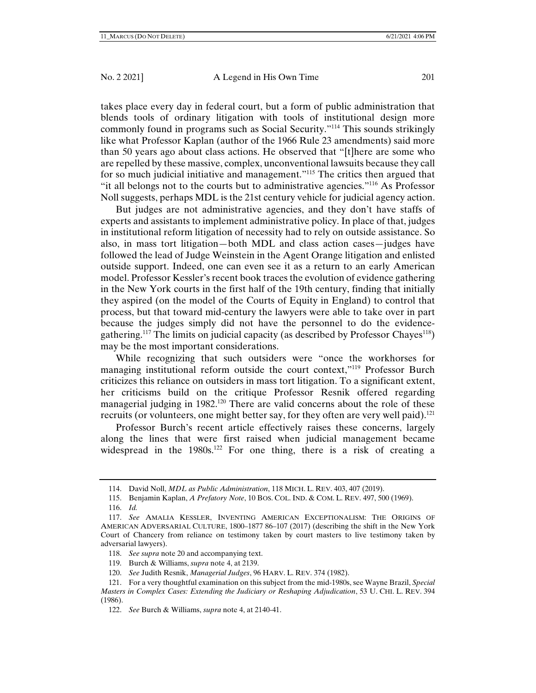takes place every day in federal court, but a form of public administration that blends tools of ordinary litigation with tools of institutional design more commonly found in programs such as Social Security."114 This sounds strikingly like what Professor Kaplan (author of the 1966 Rule 23 amendments) said more than 50 years ago about class actions. He observed that "[t]here are some who are repelled by these massive, complex, unconventional lawsuits because they call for so much judicial initiative and management."<sup>115</sup> The critics then argued that "it all belongs not to the courts but to administrative agencies."116 As Professor Noll suggests, perhaps MDL is the 21st century vehicle for judicial agency action.

But judges are not administrative agencies, and they don't have staffs of experts and assistants to implement administrative policy. In place of that, judges in institutional reform litigation of necessity had to rely on outside assistance. So also, in mass tort litigation—both MDL and class action cases—judges have followed the lead of Judge Weinstein in the Agent Orange litigation and enlisted outside support. Indeed, one can even see it as a return to an early American model. Professor Kessler's recent book traces the evolution of evidence gathering in the New York courts in the first half of the 19th century, finding that initially they aspired (on the model of the Courts of Equity in England) to control that process, but that toward mid-century the lawyers were able to take over in part because the judges simply did not have the personnel to do the evidencegathering.<sup>117</sup> The limits on judicial capacity (as described by Professor Chayes<sup>118</sup>) may be the most important considerations.

While recognizing that such outsiders were "once the workhorses for managing institutional reform outside the court context,"119 Professor Burch criticizes this reliance on outsiders in mass tort litigation. To a significant extent, her criticisms build on the critique Professor Resnik offered regarding managerial judging in 1982.<sup>120</sup> There are valid concerns about the role of these recruits (or volunteers, one might better say, for they often are very well paid).<sup>121</sup>

Professor Burch's recent article effectively raises these concerns, largely along the lines that were first raised when judicial management became widespread in the 1980s.<sup>122</sup> For one thing, there is a risk of creating a

 <sup>114.</sup> David Noll, *MDL as Public Administration*, 118 MICH. L. REV. 403, 407 (2019).

 <sup>115.</sup> Benjamin Kaplan, *A Prefatory Note*, 10 BOS. COL. IND. & COM. L. REV. 497, 500 (1969).

 <sup>116.</sup> *Id.*

 <sup>117.</sup> *See* AMALIA KESSLER, INVENTING AMERICAN EXCEPTIONALISM: THE ORIGINS OF AMERICAN ADVERSARIAL CULTURE, 1800–1877 86–107 (2017) (describing the shift in the New York Court of Chancery from reliance on testimony taken by court masters to live testimony taken by adversarial lawyers).

 <sup>118.</sup> *See supra* note 20 and accompanying text.

 <sup>119.</sup> Burch & Williams, *supra* note 4, at 2139.

 <sup>120.</sup> *See* Judith Resnik, *Managerial Judges*, 96 HARV. L. REV. 374 (1982).

 <sup>121.</sup> For a very thoughtful examination on this subject from the mid-1980s, see Wayne Brazil, *Special Masters in Complex Cases: Extending the Judiciary or Reshaping Adjudication*, 53 U. CHI. L. REV. 394 (1986).

 <sup>122.</sup> *See* Burch & Williams, *supra* note 4, at 2140-41.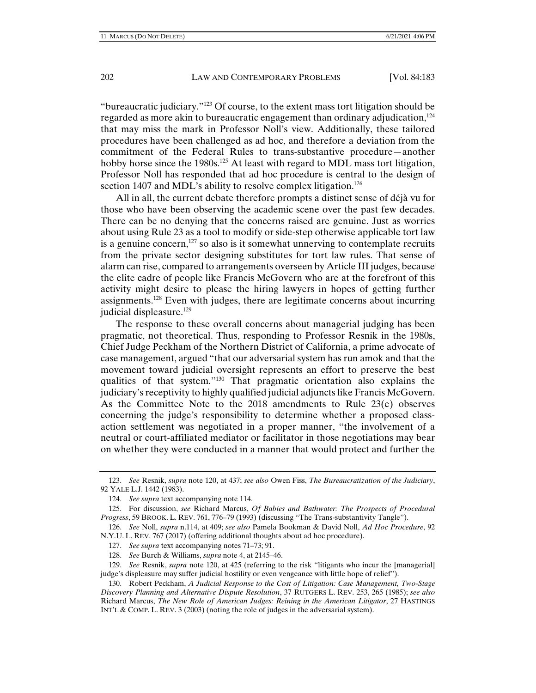"bureaucratic judiciary."<sup>123</sup> Of course, to the extent mass tort litigation should be regarded as more akin to bureaucratic engagement than ordinary adjudication,  $124$ that may miss the mark in Professor Noll's view. Additionally, these tailored procedures have been challenged as ad hoc, and therefore a deviation from the commitment of the Federal Rules to trans-substantive procedure—another hobby horse since the 1980s.<sup>125</sup> At least with regard to MDL mass tort litigation, Professor Noll has responded that ad hoc procedure is central to the design of section 1407 and MDL's ability to resolve complex litigation.<sup>126</sup>

All in all, the current debate therefore prompts a distinct sense of déjà vu for those who have been observing the academic scene over the past few decades. There can be no denying that the concerns raised are genuine. Just as worries about using Rule 23 as a tool to modify or side-step otherwise applicable tort law is a genuine concern,  $127$  so also is it somewhat unnerving to contemplate recruits from the private sector designing substitutes for tort law rules. That sense of alarm can rise, compared to arrangements overseen by Article III judges, because the elite cadre of people like Francis McGovern who are at the forefront of this activity might desire to please the hiring lawyers in hopes of getting further assignments.<sup>128</sup> Even with judges, there are legitimate concerns about incurring judicial displeasure.<sup>129</sup>

The response to these overall concerns about managerial judging has been pragmatic, not theoretical. Thus, responding to Professor Resnik in the 1980s, Chief Judge Peckham of the Northern District of California, a prime advocate of case management, argued "that our adversarial system has run amok and that the movement toward judicial oversight represents an effort to preserve the best qualities of that system."130 That pragmatic orientation also explains the judiciary's receptivity to highly qualified judicial adjuncts like Francis McGovern. As the Committee Note to the 2018 amendments to Rule 23(e) observes concerning the judge's responsibility to determine whether a proposed classaction settlement was negotiated in a proper manner, "the involvement of a neutral or court-affiliated mediator or facilitator in those negotiations may bear on whether they were conducted in a manner that would protect and further the

127. *See supra* text accompanying notes 71–73; 91.

 <sup>123.</sup> *See* Resnik, *supra* note 120, at 437; *see also* Owen Fiss, *The Bureaucratization of the Judiciary*, 92 YALE L.J. 1442 (1983).

 <sup>124.</sup> *See supra* text accompanying note 114.

 <sup>125.</sup> For discussion, *see* Richard Marcus, *Of Babies and Bathwater: The Prospects of Procedural Progress*, 59 BROOK. L. REV. 761, 776–79 (1993) (discussing "The Trans-substantivity Tangle").

 <sup>126.</sup> *See* Noll, *supra* n.114, at 409; *see also* Pamela Bookman & David Noll, *Ad Hoc Procedure*, 92 N.Y.U. L. REV. 767 (2017) (offering additional thoughts about ad hoc procedure).

 <sup>128.</sup> *See* Burch & Williams, *supra* note 4, at 2145–46.

 <sup>129.</sup> *See* Resnik, *supra* note 120, at 425 (referring to the risk "litigants who incur the [managerial] judge's displeasure may suffer judicial hostility or even vengeance with little hope of relief").

 <sup>130.</sup> Robert Peckham, *A Judicial Response to the Cost of Litigation: Case Management, Two-Stage Discovery Planning and Alternative Dispute Resolution*, 37 RUTGERS L. REV. 253, 265 (1985); *see also* Richard Marcus, *The New Role of American Judges: Reining in the American Litigator*, 27 HASTINGS INT'L & COMP. L. REV. 3 (2003) (noting the role of judges in the adversarial system).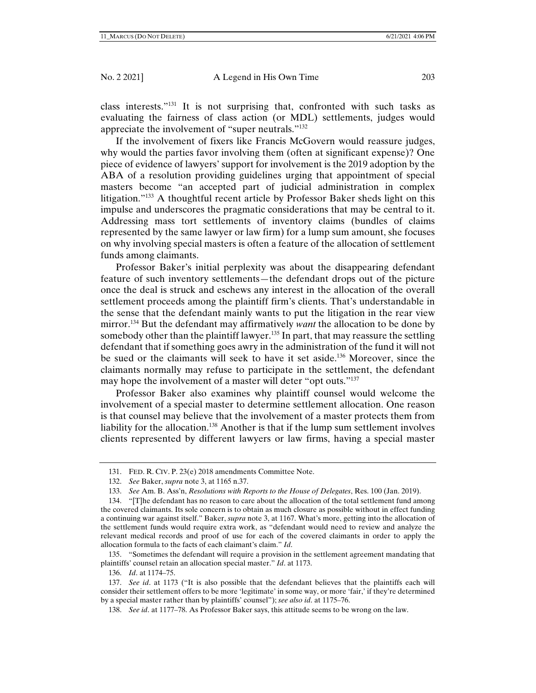class interests."131 It is not surprising that, confronted with such tasks as evaluating the fairness of class action (or MDL) settlements, judges would appreciate the involvement of "super neutrals."132

If the involvement of fixers like Francis McGovern would reassure judges, why would the parties favor involving them (often at significant expense)? One piece of evidence of lawyers' support for involvement is the 2019 adoption by the ABA of a resolution providing guidelines urging that appointment of special masters become "an accepted part of judicial administration in complex litigation."133 A thoughtful recent article by Professor Baker sheds light on this impulse and underscores the pragmatic considerations that may be central to it. Addressing mass tort settlements of inventory claims (bundles of claims represented by the same lawyer or law firm) for a lump sum amount, she focuses on why involving special masters is often a feature of the allocation of settlement funds among claimants.

Professor Baker's initial perplexity was about the disappearing defendant feature of such inventory settlements—the defendant drops out of the picture once the deal is struck and eschews any interest in the allocation of the overall settlement proceeds among the plaintiff firm's clients. That's understandable in the sense that the defendant mainly wants to put the litigation in the rear view mirror.134 But the defendant may affirmatively *want* the allocation to be done by somebody other than the plaintiff lawyer.<sup>135</sup> In part, that may reassure the settling defendant that if something goes awry in the administration of the fund it will not be sued or the claimants will seek to have it set aside.136 Moreover, since the claimants normally may refuse to participate in the settlement, the defendant may hope the involvement of a master will deter "opt outs."<sup>137</sup>

Professor Baker also examines why plaintiff counsel would welcome the involvement of a special master to determine settlement allocation. One reason is that counsel may believe that the involvement of a master protects them from liability for the allocation.138 Another is that if the lump sum settlement involves clients represented by different lawyers or law firms, having a special master

 135. "Sometimes the defendant will require a provision in the settlement agreement mandating that plaintiffs' counsel retain an allocation special master." *Id*. at 1173.

136. *Id*. at 1174–75.

 <sup>131.</sup> FED. R. CIV. P. 23(e) 2018 amendments Committee Note.

 <sup>132.</sup> *See* Baker, *supra* note 3, at 1165 n.37.

 <sup>133.</sup> *See* Am. B. Ass'n, *Resolutions with Reports to the House of Delegates*, Res. 100 (Jan. 2019).

 <sup>134. &</sup>quot;[T]he defendant has no reason to care about the allocation of the total settlement fund among the covered claimants. Its sole concern is to obtain as much closure as possible without in effect funding a continuing war against itself." Baker, *supra* note 3, at 1167. What's more, getting into the allocation of the settlement funds would require extra work, as "defendant would need to review and analyze the relevant medical records and proof of use for each of the covered claimants in order to apply the allocation formula to the facts of each claimant's claim." *Id*.

 <sup>137.</sup> *See id*. at 1173 ("It is also possible that the defendant believes that the plaintiffs each will consider their settlement offers to be more 'legitimate' in some way, or more 'fair,' if they're determined by a special master rather than by plaintiffs' counsel"); *see also id*. at 1175–76.

 <sup>138.</sup> *See id*. at 1177–78. As Professor Baker says, this attitude seems to be wrong on the law.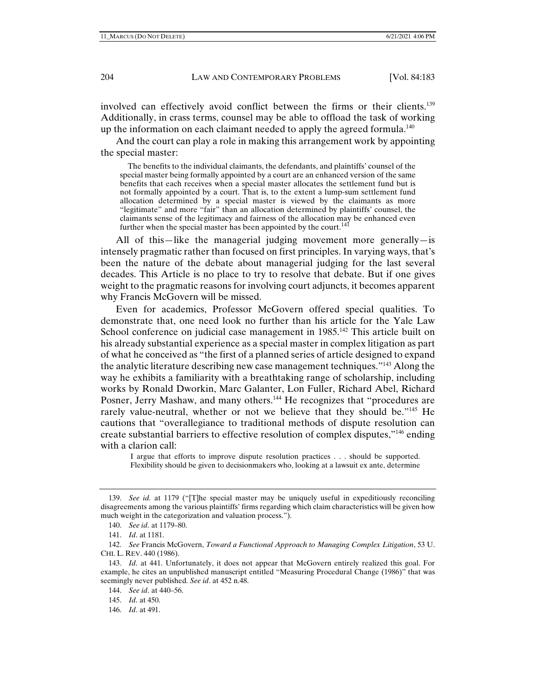involved can effectively avoid conflict between the firms or their clients.139 Additionally, in crass terms, counsel may be able to offload the task of working up the information on each claimant needed to apply the agreed formula.<sup>140</sup>

And the court can play a role in making this arrangement work by appointing the special master:

 The benefits to the individual claimants, the defendants, and plaintiffs' counsel of the special master being formally appointed by a court are an enhanced version of the same benefits that each receives when a special master allocates the settlement fund but is not formally appointed by a court. That is, to the extent a lump-sum settlement fund allocation determined by a special master is viewed by the claimants as more "legitimate" and more "fair" than an allocation determined by plaintiffs' counsel, the claimants sense of the legitimacy and fairness of the allocation may be enhanced even further when the special master has been appointed by the court.<sup>141</sup>

All of this—like the managerial judging movement more generally—is intensely pragmatic rather than focused on first principles. In varying ways, that's been the nature of the debate about managerial judging for the last several decades. This Article is no place to try to resolve that debate. But if one gives weight to the pragmatic reasons for involving court adjuncts, it becomes apparent why Francis McGovern will be missed.

Even for academics, Professor McGovern offered special qualities. To demonstrate that, one need look no further than his article for the Yale Law School conference on judicial case management in  $1985$ <sup>142</sup> This article built on his already substantial experience as a special master in complex litigation as part of what he conceived as "the first of a planned series of article designed to expand the analytic literature describing new case management techniques."<sup>143</sup> Along the way he exhibits a familiarity with a breathtaking range of scholarship, including works by Ronald Dworkin, Marc Galanter, Lon Fuller, Richard Abel, Richard Posner, Jerry Mashaw, and many others.<sup>144</sup> He recognizes that "procedures are rarely value-neutral, whether or not we believe that they should be."<sup>145</sup> He cautions that "overallegiance to traditional methods of dispute resolution can create substantial barriers to effective resolution of complex disputes,"146 ending with a clarion call:

I argue that efforts to improve dispute resolution practices . . . should be supported. Flexibility should be given to decisionmakers who, looking at a lawsuit ex ante, determine

145. *Id*. at 450.

146. *Id*. at 491.

 <sup>139.</sup> *See id.* at 1179 ("[T]he special master may be uniquely useful in expeditiously reconciling disagreements among the various plaintiffs' firms regarding which claim characteristics will be given how much weight in the categorization and valuation process.").

 <sup>140.</sup> *See id*. at 1179–80.

 <sup>141.</sup> *Id*. at 1181.

 <sup>142.</sup> *See* Francis McGovern, *Toward a Functional Approach to Managing Complex Litigation*, 53 U. CHI. L. REV. 440 (1986).

 <sup>143.</sup> *Id*. at 441. Unfortunately, it does not appear that McGovern entirely realized this goal. For example, he cites an unpublished manuscript entitled "Measuring Procedural Change (1986)" that was seemingly never published. *See id*. at 452 n.48.

 <sup>144.</sup> *See id*. at 440–56.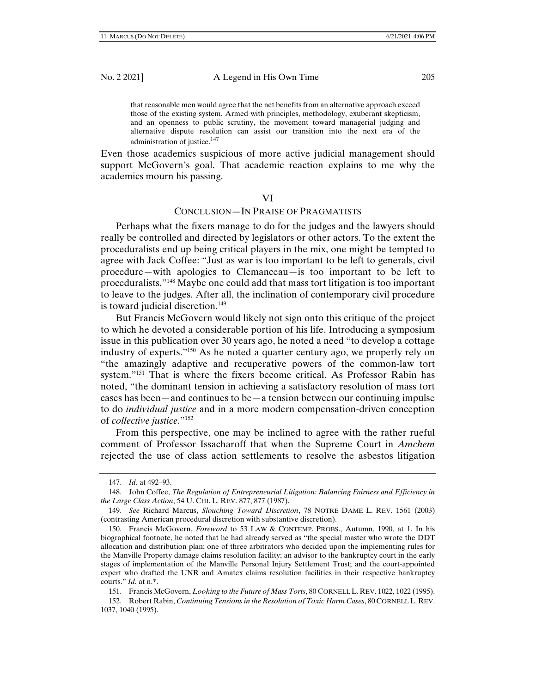that reasonable men would agree that the net benefits from an alternative approach exceed those of the existing system. Armed with principles, methodology, exuberant skepticism, and an openness to public scrutiny, the movement toward managerial judging and alternative dispute resolution can assist our transition into the next era of the administration of justice.<sup>147</sup>

Even those academics suspicious of more active judicial management should support McGovern's goal. That academic reaction explains to me why the academics mourn his passing.

#### VI

# CONCLUSION—IN PRAISE OF PRAGMATISTS

Perhaps what the fixers manage to do for the judges and the lawyers should really be controlled and directed by legislators or other actors. To the extent the proceduralists end up being critical players in the mix, one might be tempted to agree with Jack Coffee: "Just as war is too important to be left to generals, civil procedure—with apologies to Clemanceau—is too important to be left to proceduralists."148 Maybe one could add that mass tort litigation is too important to leave to the judges. After all, the inclination of contemporary civil procedure is toward judicial discretion.<sup>149</sup>

But Francis McGovern would likely not sign onto this critique of the project to which he devoted a considerable portion of his life. Introducing a symposium issue in this publication over 30 years ago, he noted a need "to develop a cottage industry of experts."150 As he noted a quarter century ago, we properly rely on "the amazingly adaptive and recuperative powers of the common-law tort system."151 That is where the fixers become critical. As Professor Rabin has noted, "the dominant tension in achieving a satisfactory resolution of mass tort cases has been—and continues to be—a tension between our continuing impulse to do *individual justice* and in a more modern compensation-driven conception of *collective justice*."152

From this perspective, one may be inclined to agree with the rather rueful comment of Professor Issacharoff that when the Supreme Court in *Amchem* rejected the use of class action settlements to resolve the asbestos litigation

 <sup>147.</sup> *Id*. at 492–93.

 <sup>148.</sup> John Coffee, *The Regulation of Entrepreneurial Litigation: Balancing Fairness and Efficiency in the Large Class Action*, 54 U. CHI. L. REV. 877, 877 (1987).

 <sup>149.</sup> *See* Richard Marcus, *Slouching Toward Discretion*, 78 NOTRE DAME L. REV. 1561 (2003) (contrasting American procedural discretion with substantive discretion).

 <sup>150.</sup> Francis McGovern, *Foreword* to 53 LAW & CONTEMP. PROBS., Autumn, 1990, at 1. In his biographical footnote, he noted that he had already served as "the special master who wrote the DDT allocation and distribution plan; one of three arbitrators who decided upon the implementing rules for the Manville Property damage claims resolution facility; an advisor to the bankruptcy court in the early stages of implementation of the Manville Personal Injury Settlement Trust; and the court-appointed expert who drafted the UNR and Amatex claims resolution facilities in their respective bankruptcy courts." *Id.* at n.\*.

 <sup>151.</sup> Francis McGovern, *Looking to the Future of Mass Torts*, 80 CORNELL L. REV. 1022, 1022 (1995).

 <sup>152.</sup> Robert Rabin, *Continuing Tensions in the Resolution of Toxic Harm Cases*, 80 CORNELL L. REV. 1037, 1040 (1995).